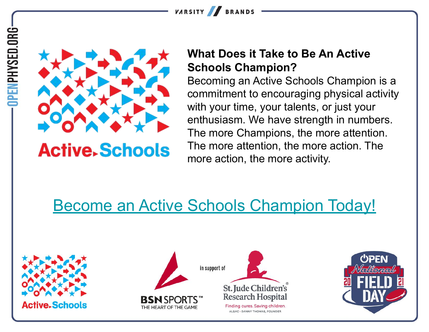





### **Active. Schools**

#### **What Does it Take to Be An Active Schools Champion?**

Becoming an Active Schools Champion is a commitment to encouraging physical activity with your time, your talents, or just your enthusiasm. We have strength in numbers. The more Champions, the more attention. The more attention, the more action. The more action, the more activity.

### [Become an Active Schools Champion Today!](https://www.activeschoolsus.org/join-the-movement/)







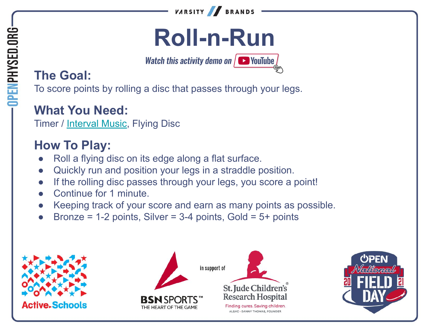

## **Roll-n-Run**

**Watch this activity demo on**  $\sqrt{ }$  **VouTube** 

#### **The Goal:**

To score points by rolling a disc that passes through your legs.

#### **What You Need:**

Timer / [Interval Music](https://music.apple.com/us/album/1-minute-challenges/631219187), Flying Disc

- Roll a flying disc on its edge along a flat surface.
- Quickly run and position your legs in a straddle position.
- If the rolling disc passes through your legs, you score a point!
- Continue for 1 minute.
- Keeping track of your score and earn as many points as possible.
- Bronze =  $1-2$  points, Silver =  $3-4$  points, Gold =  $5+$  points



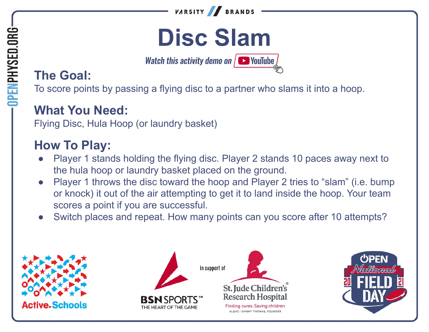

## **Disc Slam**

**Watch this activity demo on**  $\sqrt{ }$  **YouTube** 

#### **The Goal:**

OPENPHYSED.ORG

To score points by passing a flying disc to a partner who slams it into a hoop.

#### **What You Need:**

Flying Disc, Hula Hoop (or laundry basket)

- Player 1 stands holding the flying disc. Player 2 stands 10 paces away next to the hula hoop or laundry basket placed on the ground.
- Player 1 throws the disc toward the hoop and Player 2 tries to "slam" (i.e. bump or knock) it out of the air attempting to get it to land inside the hoop. Your team scores a point if you are successful.
- Switch places and repeat. How many points can you score after 10 attempts?



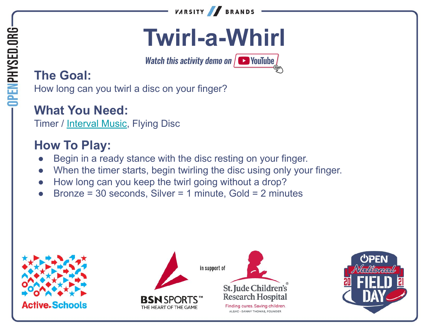

## **Twirl-a-Whirl**

**Watch this activity demo on**  $\sqrt{ }$  **VouTube** 

#### **The Goal:**

How long can you twirl a disc on your finger?

#### **What You Need:**

Timer / [Interval Music](https://music.apple.com/us/album/1-minute-challenges/631219187), Flying Disc

- Begin in a ready stance with the disc resting on your finger.
- When the timer starts, begin twirling the disc using only your finger.
- How long can you keep the twirl going without a drop?
- Bronze = 30 seconds, Silver = 1 minute, Gold = 2 minutes







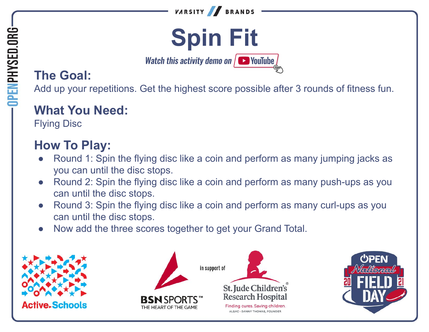



**Watch this activity demo on**  $\sqrt{ }$  YouTube

#### **The Goal:**

**OPENPHYSED.ORG** 

Add up your repetitions. Get the highest score possible after 3 rounds of fitness fun.

#### **What You Need:**

Flying Disc

- Round 1: Spin the flying disc like a coin and perform as many jumping jacks as you can until the disc stops.
- Round 2: Spin the flying disc like a coin and perform as many push-ups as you can until the disc stops.
- Round 3: Spin the flying disc like a coin and perform as many curl-ups as you can until the disc stops.
- Now add the three scores together to get your Grand Total.